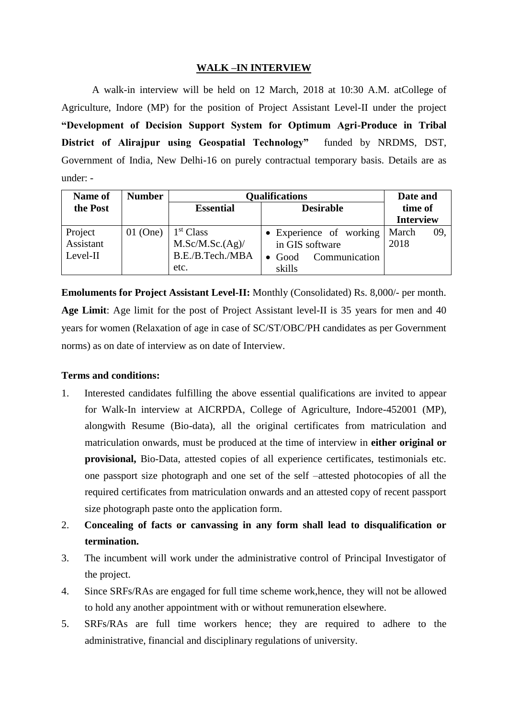### **WALK –IN INTERVIEW**

A walk-in interview will be held on 12 March, 2018 at 10:30 A.M. atCollege of Agriculture, Indore (MP) for the position of Project Assistant Level-II under the project **"Development of Decision Support System for Optimum Agri-Produce in Tribal District of Alirajpur using Geospatial Technology"** funded by NRDMS, DST, Government of India, New Delhi-16 on purely contractual temporary basis. Details are as under: -

| Name of    | <b>Number</b> | <b>Qualifications</b>                | Date and                        |                  |
|------------|---------------|--------------------------------------|---------------------------------|------------------|
| the Post   |               | <b>Desirable</b><br><b>Essential</b> |                                 | time of          |
|            |               |                                      |                                 | <b>Interview</b> |
| Project    | $01$ (One)    | 1 <sup>st</sup> Class                | • Experience of working         | March<br>09.     |
| Assistant  |               | M.Sc/M.Sc.(Ag)                       | in GIS software                 | 2018             |
| $Level-II$ |               | B.E./B.Tech./MBA                     | Communication<br>$\bullet$ Good |                  |
|            |               | etc.                                 | skills                          |                  |

**Emoluments for Project Assistant Level-II:** Monthly (Consolidated) Rs. 8,000/- per month. **Age Limit**: Age limit for the post of Project Assistant level-II is 35 years for men and 40 years for women (Relaxation of age in case of SC/ST/OBC/PH candidates as per Government norms) as on date of interview as on date of Interview.

#### **Terms and conditions:**

- 1. Interested candidates fulfilling the above essential qualifications are invited to appear for Walk-In interview at AICRPDA, College of Agriculture, Indore-452001 (MP), alongwith Resume (Bio-data), all the original certificates from matriculation and matriculation onwards, must be produced at the time of interview in **either original or provisional,** Bio-Data, attested copies of all experience certificates, testimonials etc. one passport size photograph and one set of the self –attested photocopies of all the required certificates from matriculation onwards and an attested copy of recent passport size photograph paste onto the application form.
- 2. **Concealing of facts or canvassing in any form shall lead to disqualification or termination.**
- 3. The incumbent will work under the administrative control of Principal Investigator of the project.
- 4. Since SRFs/RAs are engaged for full time scheme work,hence, they will not be allowed to hold any another appointment with or without remuneration elsewhere.
- 5. SRFs/RAs are full time workers hence; they are required to adhere to the administrative, financial and disciplinary regulations of university.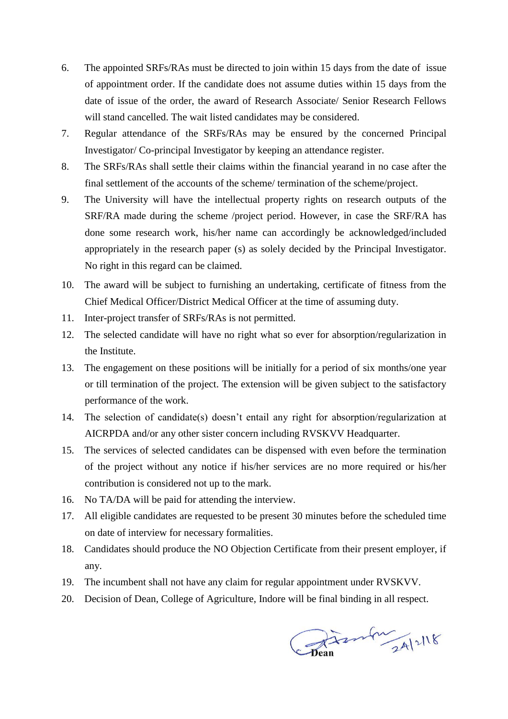- 6. The appointed SRFs/RAs must be directed to join within 15 days from the date of issue of appointment order. If the candidate does not assume duties within 15 days from the date of issue of the order, the award of Research Associate/ Senior Research Fellows will stand cancelled. The wait listed candidates may be considered.
- 7. Regular attendance of the SRFs/RAs may be ensured by the concerned Principal Investigator/ Co-principal Investigator by keeping an attendance register.
- 8. The SRFs/RAs shall settle their claims within the financial yearand in no case after the final settlement of the accounts of the scheme/ termination of the scheme/project.
- 9. The University will have the intellectual property rights on research outputs of the SRF/RA made during the scheme /project period. However, in case the SRF/RA has done some research work, his/her name can accordingly be acknowledged/included appropriately in the research paper (s) as solely decided by the Principal Investigator. No right in this regard can be claimed.
- 10. The award will be subject to furnishing an undertaking, certificate of fitness from the Chief Medical Officer/District Medical Officer at the time of assuming duty.
- 11. Inter-project transfer of SRFs/RAs is not permitted.
- 12. The selected candidate will have no right what so ever for absorption/regularization in the Institute.
- 13. The engagement on these positions will be initially for a period of six months/one year or till termination of the project. The extension will be given subject to the satisfactory performance of the work.
- 14. The selection of candidate(s) doesn't entail any right for absorption/regularization at AICRPDA and/or any other sister concern including RVSKVV Headquarter.
- 15. The services of selected candidates can be dispensed with even before the termination of the project without any notice if his/her services are no more required or his/her contribution is considered not up to the mark.
- 16. No TA/DA will be paid for attending the interview.
- 17. All eligible candidates are requested to be present 30 minutes before the scheduled time on date of interview for necessary formalities.
- 18. Candidates should produce the NO Objection Certificate from their present employer, if any.
- 19. The incumbent shall not have any claim for regular appointment under RVSKVV.
- 20. Decision of Dean, College of Agriculture, Indore will be final binding in all respect.

Chan mars 24/2/18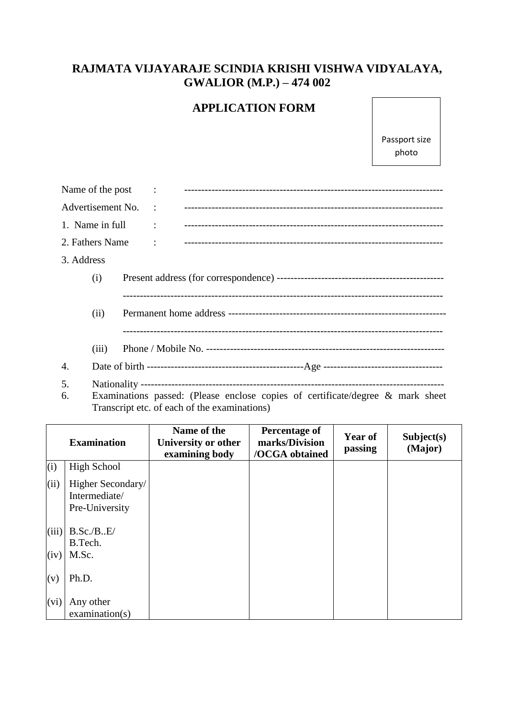# **RAJMATA VIJAYARAJE SCINDIA KRISHI VISHWA VIDYALAYA, GWALIOR (M.P.) – 474 002**

## **APPLICATION FORM**

Passport size photo

| Name of the post  |                                                                                | $\ddot{\cdot}$       |  |  |  |
|-------------------|--------------------------------------------------------------------------------|----------------------|--|--|--|
| Advertisement No. |                                                                                | $\ddot{\phantom{a}}$ |  |  |  |
| 1. Name in full   |                                                                                | $\ddot{\cdot}$       |  |  |  |
| 2. Fathers Name   |                                                                                | $\ddot{\cdot}$       |  |  |  |
| 3. Address        |                                                                                |                      |  |  |  |
|                   | (i)                                                                            |                      |  |  |  |
|                   |                                                                                |                      |  |  |  |
|                   | (ii)                                                                           |                      |  |  |  |
|                   |                                                                                |                      |  |  |  |
|                   | (iii)                                                                          |                      |  |  |  |
| 4.                |                                                                                |                      |  |  |  |
| 5.                |                                                                                |                      |  |  |  |
| 6.                | Examinations passed: (Please enclose copies of certificate/degree & mark sheet |                      |  |  |  |

Transcript etc. of each of the examinations)

|       | <b>Examination</b>                                   | Name of the<br>University or other<br>examining body | Percentage of<br>marks/Division<br>/OCGA obtained | <b>Year of</b><br>passing | Subject(s)<br>(Major) |
|-------|------------------------------------------------------|------------------------------------------------------|---------------------------------------------------|---------------------------|-----------------------|
| (i)   | <b>High School</b>                                   |                                                      |                                                   |                           |                       |
| (ii)  | Higher Secondary/<br>Intermediate/<br>Pre-University |                                                      |                                                   |                           |                       |
| (iii) | B.Sc./B.E/<br>B.Tech.                                |                                                      |                                                   |                           |                       |
| (iv)  | M.Sc.                                                |                                                      |                                                   |                           |                       |
| (v)   | Ph.D.                                                |                                                      |                                                   |                           |                       |
| (vi)  | Any other<br>examination(s)                          |                                                      |                                                   |                           |                       |